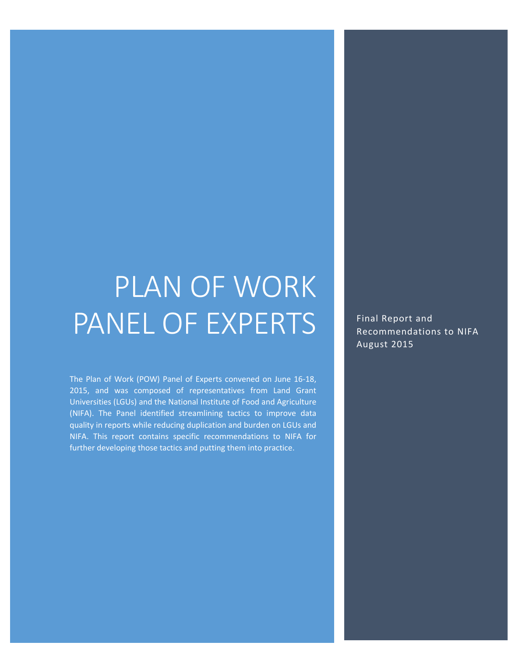# PLAN OF WORK PANEL OF EXPERTS

The Plan of Work (POW) Panel of Experts convened on June 16-18, 2015, and was composed of representatives from Land Grant Universities (LGUs) and the National Institute of Food and Agriculture (NIFA). The Panel identified streamlining tactics to improve data quality in reports while reducing duplication and burden on LGUs and NIFA. This report contains specific recommendations to NIFA for further developing those tactics and putting them into practice.

Final Report and Recommendations to NIFA August 2015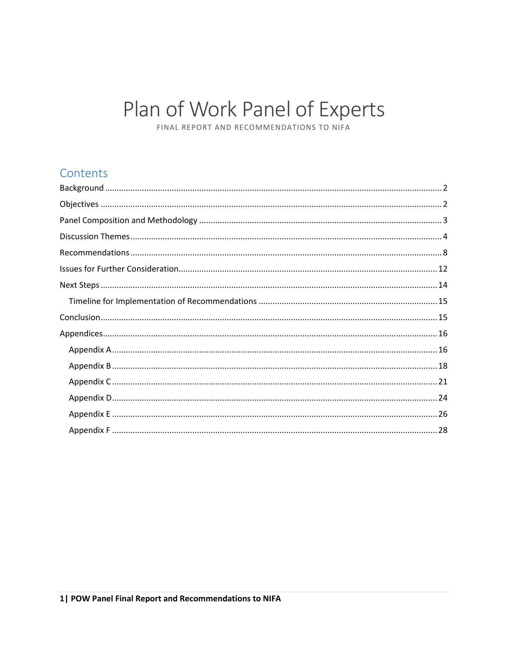## Plan of Work Panel of Experts

FINAL REPORT AND RECOMMENDATIONS TO NIFA

### Contents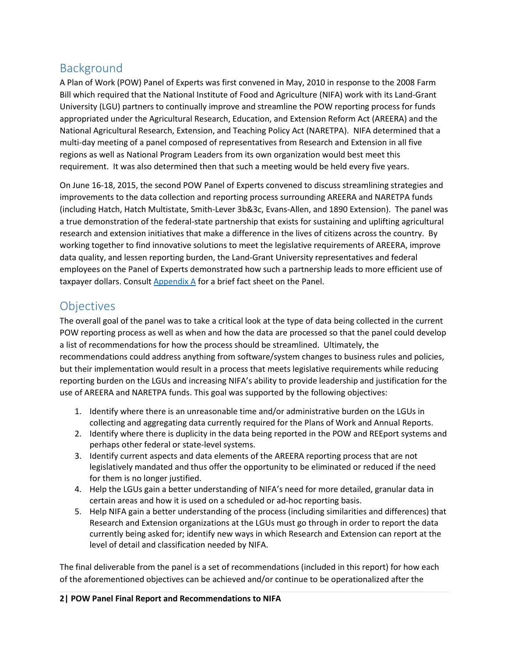## <span id="page-2-0"></span>Background

A Plan of Work (POW) Panel of Experts was first convened in May, 2010 in response to the 2008 Farm Bill which required that the National Institute of Food and Agriculture (NIFA) work with its Land-Grant University (LGU) partners to continually improve and streamline the POW reporting process for funds appropriated under the Agricultural Research, Education, and Extension Reform Act (AREERA) and the National Agricultural Research, Extension, and Teaching Policy Act (NARETPA). NIFA determined that a multi-day meeting of a panel composed of representatives from Research and Extension in all five regions as well as National Program Leaders from its own organization would best meet this requirement. It was also determined then that such a meeting would be held every five years.

On June 16-18, 2015, the second POW Panel of Experts convened to discuss streamlining strategies and improvements to the data collection and reporting process surrounding AREERA and NARETPA funds (including Hatch, Hatch Multistate, Smith-Lever 3b&3c, Evans-Allen, and 1890 Extension). The panel was a true demonstration of the federal-state partnership that exists for sustaining and uplifting agricultural research and extension initiatives that make a difference in the lives of citizens across the country. By working together to find innovative solutions to meet the legislative requirements of AREERA, improve data quality, and lessen reporting burden, the Land-Grant University representatives and federal employees on the Panel of Experts demonstrated how such a partnership leads to more efficient use of taxpayer dollars. Consult  $\Delta$ ppendix  $\Delta$  for a brief fact sheet on the Panel.

## <span id="page-2-1"></span>**Objectives**

The overall goal of the panel was to take a critical look at the type of data being collected in the current POW reporting process as well as when and how the data are processed so that the panel could develop a list of recommendations for how the process should be streamlined. Ultimately, the recommendations could address anything from software/system changes to business rules and policies, but their implementation would result in a process that meets legislative requirements while reducing reporting burden on the LGUs and increasing NIFA's ability to provide leadership and justification for the use of AREERA and NARETPA funds. This goal was supported by the following objectives:

- 1. Identify where there is an unreasonable time and/or administrative burden on the LGUs in collecting and aggregating data currently required for the Plans of Work and Annual Reports.
- 2. Identify where there is duplicity in the data being reported in the POW and REEport systems and perhaps other federal or state-level systems.
- 3. Identify current aspects and data elements of the AREERA reporting process that are not legislatively mandated and thus offer the opportunity to be eliminated or reduced if the need for them is no longer justified.
- 4. Help the LGUs gain a better understanding of NIFA's need for more detailed, granular data in certain areas and how it is used on a scheduled or ad-hoc reporting basis.
- 5. Help NIFA gain a better understanding of the process (including similarities and differences) that Research and Extension organizations at the LGUs must go through in order to report the data currently being asked for; identify new ways in which Research and Extension can report at the level of detail and classification needed by NIFA.

The final deliverable from the panel is a set of recommendations (included in this report) for how each of the aforementioned objectives can be achieved and/or continue to be operationalized after the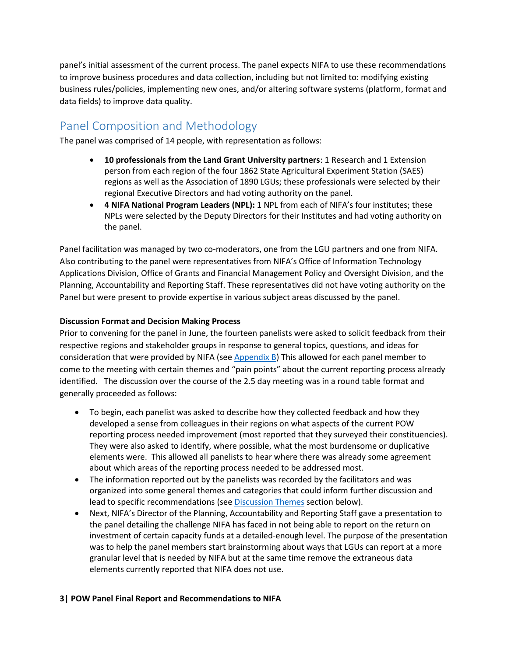panel's initial assessment of the current process. The panel expects NIFA to use these recommendations to improve business procedures and data collection, including but not limited to: modifying existing business rules/policies, implementing new ones, and/or altering software systems (platform, format and data fields) to improve data quality.

## <span id="page-3-0"></span>Panel Composition and Methodology

The panel was comprised of 14 people, with representation as follows:

- **10 professionals from the Land Grant University partners**: 1 Research and 1 Extension person from each region of the four 1862 State Agricultural Experiment Station (SAES) regions as well as the Association of 1890 LGUs; these professionals were selected by their regional Executive Directors and had voting authority on the panel.
- **4 NIFA National Program Leaders (NPL):** 1 NPL from each of NIFA's four institutes; these NPLs were selected by the Deputy Directors for their Institutes and had voting authority on the panel.

Panel facilitation was managed by two co-moderators, one from the LGU partners and one from NIFA. Also contributing to the panel were representatives from NIFA's Office of Information Technology Applications Division, Office of Grants and Financial Management Policy and Oversight Division, and the Planning, Accountability and Reporting Staff. These representatives did not have voting authority on the Panel but were present to provide expertise in various subject areas discussed by the panel.

#### **Discussion Format and Decision Making Process**

Prior to convening for the panel in June, the fourteen panelists were asked to solicit feedback from their respective regions and stakeholder groups in response to general topics, questions, and ideas for consideration that were provided by NIFA (see  $AppendixB$ ) This allowed for each panel member to come to the meeting with certain themes and "pain points" about the current reporting process already identified. The discussion over the course of the 2.5 day meeting was in a round table format and generally proceeded as follows:

- To begin, each panelist was asked to describe how they collected feedback and how they developed a sense from colleagues in their regions on what aspects of the current POW reporting process needed improvement (most reported that they surveyed their constituencies). They were also asked to identify, where possible, what the most burdensome or duplicative elements were. This allowed all panelists to hear where there was already some agreement about which areas of the reporting process needed to be addressed most.
- The information reported out by the panelists was recorded by the facilitators and was organized into some general themes and categories that could inform further discussion and lead to specific recommendations (se[e Discussion Themes](#page-4-0) section below).
- Next, NIFA's Director of the Planning, Accountability and Reporting Staff gave a presentation to the panel detailing the challenge NIFA has faced in not being able to report on the return on investment of certain capacity funds at a detailed-enough level. The purpose of the presentation was to help the panel members start brainstorming about ways that LGUs can report at a more granular level that is needed by NIFA but at the same time remove the extraneous data elements currently reported that NIFA does not use.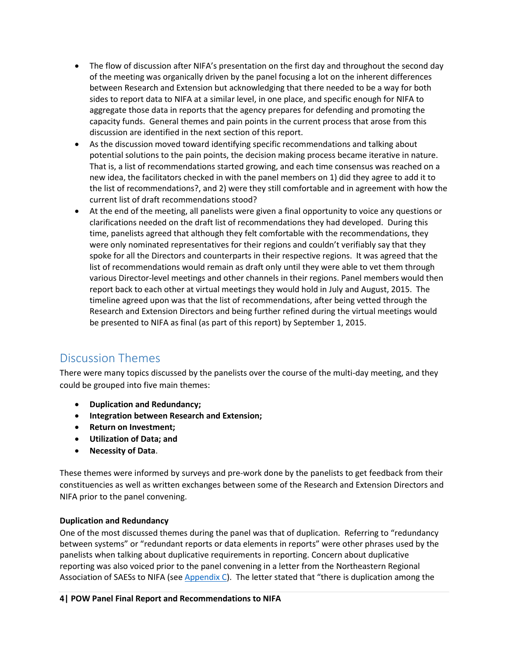- The flow of discussion after NIFA's presentation on the first day and throughout the second day of the meeting was organically driven by the panel focusing a lot on the inherent differences between Research and Extension but acknowledging that there needed to be a way for both sides to report data to NIFA at a similar level, in one place, and specific enough for NIFA to aggregate those data in reports that the agency prepares for defending and promoting the capacity funds. General themes and pain points in the current process that arose from this discussion are identified in the next section of this report.
- As the discussion moved toward identifying specific recommendations and talking about potential solutions to the pain points, the decision making process became iterative in nature. That is, a list of recommendations started growing, and each time consensus was reached on a new idea, the facilitators checked in with the panel members on 1) did they agree to add it to the list of recommendations?, and 2) were they still comfortable and in agreement with how the current list of draft recommendations stood?
- At the end of the meeting, all panelists were given a final opportunity to voice any questions or clarifications needed on the draft list of recommendations they had developed. During this time, panelists agreed that although they felt comfortable with the recommendations, they were only nominated representatives for their regions and couldn't verifiably say that they spoke for all the Directors and counterparts in their respective regions. It was agreed that the list of recommendations would remain as draft only until they were able to vet them through various Director-level meetings and other channels in their regions. Panel members would then report back to each other at virtual meetings they would hold in July and August, 2015. The timeline agreed upon was that the list of recommendations, after being vetted through the Research and Extension Directors and being further refined during the virtual meetings would be presented to NIFA as final (as part of this report) by September 1, 2015.

## <span id="page-4-0"></span>Discussion Themes

There were many topics discussed by the panelists over the course of the multi-day meeting, and they could be grouped into five main themes:

- **Duplication and Redundancy;**
- **Integration between Research and Extension;**
- **•** Return on Investment;
- **Utilization of Data; and**
- **Necessity of Data**.

These themes were informed by surveys and pre-work done by the panelists to get feedback from their constituencies as well as written exchanges between some of the Research and Extension Directors and NIFA prior to the panel convening.

#### **Duplication and Redundancy**

One of the most discussed themes during the panel was that of duplication. Referring to "redundancy between systems" or "redundant reports or data elements in reports" were other phrases used by the panelists when talking about duplicative requirements in reporting. Concern about duplicative reporting was also voiced prior to the panel convening in a letter from the Northeastern Regional Association of SAESs to NIFA (se[e Appendix C](#page-21-0)). The letter stated that "there is duplication among the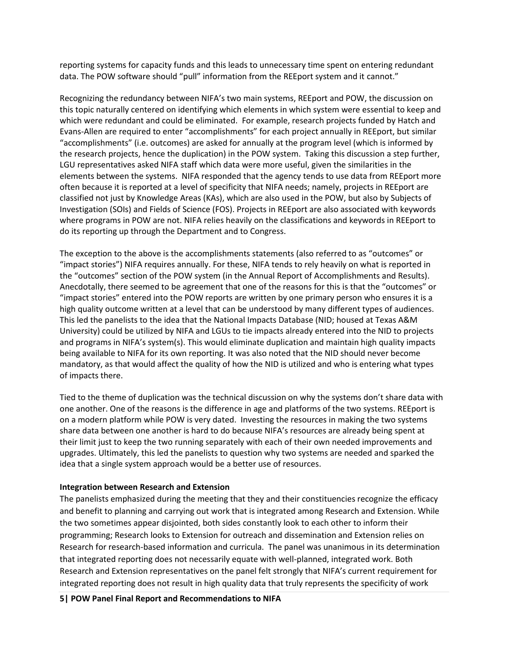reporting systems for capacity funds and this leads to unnecessary time spent on entering redundant data. The POW software should "pull" information from the REEport system and it cannot."

Recognizing the redundancy between NIFA's two main systems, REEport and POW, the discussion on this topic naturally centered on identifying which elements in which system were essential to keep and which were redundant and could be eliminated. For example, research projects funded by Hatch and Evans-Allen are required to enter "accomplishments" for each project annually in REEport, but similar "accomplishments" (i.e. outcomes) are asked for annually at the program level (which is informed by the research projects, hence the duplication) in the POW system. Taking this discussion a step further, LGU representatives asked NIFA staff which data were more useful, given the similarities in the elements between the systems. NIFA responded that the agency tends to use data from REEport more often because it is reported at a level of specificity that NIFA needs; namely, projects in REEport are classified not just by Knowledge Areas (KAs), which are also used in the POW, but also by Subjects of Investigation (SOIs) and Fields of Science (FOS). Projects in REEport are also associated with keywords where programs in POW are not. NIFA relies heavily on the classifications and keywords in REEport to do its reporting up through the Department and to Congress.

The exception to the above is the accomplishments statements (also referred to as "outcomes" or "impact stories") NIFA requires annually. For these, NIFA tends to rely heavily on what is reported in the "outcomes" section of the POW system (in the Annual Report of Accomplishments and Results). Anecdotally, there seemed to be agreement that one of the reasons for this is that the "outcomes" or "impact stories" entered into the POW reports are written by one primary person who ensures it is a high quality outcome written at a level that can be understood by many different types of audiences. This led the panelists to the idea that the National Impacts Database (NID; housed at Texas A&M University) could be utilized by NIFA and LGUs to tie impacts already entered into the NID to projects and programs in NIFA's system(s). This would eliminate duplication and maintain high quality impacts being available to NIFA for its own reporting. It was also noted that the NID should never become mandatory, as that would affect the quality of how the NID is utilized and who is entering what types of impacts there.

Tied to the theme of duplication was the technical discussion on why the systems don't share data with one another. One of the reasons is the difference in age and platforms of the two systems. REEport is on a modern platform while POW is very dated. Investing the resources in making the two systems share data between one another is hard to do because NIFA's resources are already being spent at their limit just to keep the two running separately with each of their own needed improvements and upgrades. Ultimately, this led the panelists to question why two systems are needed and sparked the idea that a single system approach would be a better use of resources.

#### **Integration between Research and Extension**

The panelists emphasized during the meeting that they and their constituencies recognize the efficacy and benefit to planning and carrying out work that is integrated among Research and Extension. While the two sometimes appear disjointed, both sides constantly look to each other to inform their programming; Research looks to Extension for outreach and dissemination and Extension relies on Research for research-based information and curricula. The panel was unanimous in its determination that integrated reporting does not necessarily equate with well-planned, integrated work. Both Research and Extension representatives on the panel felt strongly that NIFA's current requirement for integrated reporting does not result in high quality data that truly represents the specificity of work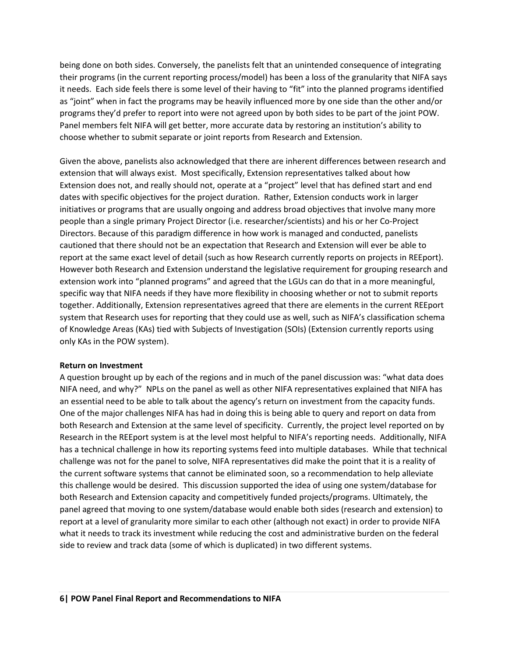being done on both sides. Conversely, the panelists felt that an unintended consequence of integrating their programs (in the current reporting process/model) has been a loss of the granularity that NIFA says it needs. Each side feels there is some level of their having to "fit" into the planned programs identified as "joint" when in fact the programs may be heavily influenced more by one side than the other and/or programs they'd prefer to report into were not agreed upon by both sides to be part of the joint POW. Panel members felt NIFA will get better, more accurate data by restoring an institution's ability to choose whether to submit separate or joint reports from Research and Extension.

Given the above, panelists also acknowledged that there are inherent differences between research and extension that will always exist. Most specifically, Extension representatives talked about how Extension does not, and really should not, operate at a "project" level that has defined start and end dates with specific objectives for the project duration. Rather, Extension conducts work in larger initiatives or programs that are usually ongoing and address broad objectives that involve many more people than a single primary Project Director (i.e. researcher/scientists) and his or her Co-Project Directors. Because of this paradigm difference in how work is managed and conducted, panelists cautioned that there should not be an expectation that Research and Extension will ever be able to report at the same exact level of detail (such as how Research currently reports on projects in REEport). However both Research and Extension understand the legislative requirement for grouping research and extension work into "planned programs" and agreed that the LGUs can do that in a more meaningful, specific way that NIFA needs if they have more flexibility in choosing whether or not to submit reports together. Additionally, Extension representatives agreed that there are elements in the current REEport system that Research uses for reporting that they could use as well, such as NIFA's classification schema of Knowledge Areas (KAs) tied with Subjects of Investigation (SOIs) (Extension currently reports using only KAs in the POW system).

#### **Return on Investment**

A question brought up by each of the regions and in much of the panel discussion was: "what data does NIFA need, and why?" NPLs on the panel as well as other NIFA representatives explained that NIFA has an essential need to be able to talk about the agency's return on investment from the capacity funds. One of the major challenges NIFA has had in doing this is being able to query and report on data from both Research and Extension at the same level of specificity. Currently, the project level reported on by Research in the REEport system is at the level most helpful to NIFA's reporting needs. Additionally, NIFA has a technical challenge in how its reporting systems feed into multiple databases. While that technical challenge was not for the panel to solve, NIFA representatives did make the point that it is a reality of the current software systems that cannot be eliminated soon, so a recommendation to help alleviate this challenge would be desired. This discussion supported the idea of using one system/database for both Research and Extension capacity and competitively funded projects/programs. Ultimately, the panel agreed that moving to one system/database would enable both sides (research and extension) to report at a level of granularity more similar to each other (although not exact) in order to provide NIFA what it needs to track its investment while reducing the cost and administrative burden on the federal side to review and track data (some of which is duplicated) in two different systems.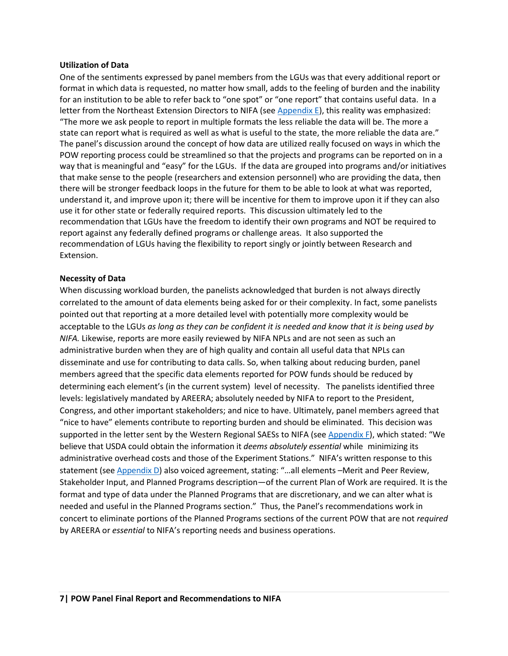#### **Utilization of Data**

One of the sentiments expressed by panel members from the LGUs was that every additional report or format in which data is requested, no matter how small, adds to the feeling of burden and the inability for an institution to be able to refer back to "one spot" or "one report" that contains useful data. In a letter from the Northeast Extension Directors to NIFA (se[e Appendix E\)](#page-26-0), this reality was emphasized: "The more we ask people to report in multiple formats the less reliable the data will be. The more a state can report what is required as well as what is useful to the state, the more reliable the data are." The panel's discussion around the concept of how data are utilized really focused on ways in which the POW reporting process could be streamlined so that the projects and programs can be reported on in a way that is meaningful and "easy" for the LGUs. If the data are grouped into programs and/or initiatives that make sense to the people (researchers and extension personnel) who are providing the data, then there will be stronger feedback loops in the future for them to be able to look at what was reported, understand it, and improve upon it; there will be incentive for them to improve upon it if they can also use it for other state or federally required reports. This discussion ultimately led to the recommendation that LGUs have the freedom to identify their own programs and NOT be required to report against any federally defined programs or challenge areas. It also supported the recommendation of LGUs having the flexibility to report singly or jointly between Research and Extension.

#### **Necessity of Data**

When discussing workload burden, the panelists acknowledged that burden is not always directly correlated to the amount of data elements being asked for or their complexity. In fact, some panelists pointed out that reporting at a more detailed level with potentially more complexity would be acceptable to the LGUs *as long as they can be confident it is needed and know that it is being used by NIFA.* Likewise, reports are more easily reviewed by NIFA NPLs and are not seen as such an administrative burden when they are of high quality and contain all useful data that NPLs can disseminate and use for contributing to data calls. So, when talking about reducing burden, panel members agreed that the specific data elements reported for POW funds should be reduced by determining each element's (in the current system) level of necessity. The panelists identified three levels: legislatively mandated by AREERA; absolutely needed by NIFA to report to the President, Congress, and other important stakeholders; and nice to have. Ultimately, panel members agreed that "nice to have" elements contribute to reporting burden and should be eliminated. This decision was supported in the letter sent by the Western Regional SAESs to NIFA (see [Appendix F\)](#page-28-0), which stated: "We believe that USDA could obtain the information it *deems absolutely essential* while minimizing its administrative overhead costs and those of the Experiment Stations." NIFA's written response to this statement (see [Appendix D\)](#page-24-0) also voiced agreement, stating: "...all elements -Merit and Peer Review, Stakeholder Input, and Planned Programs description—of the current Plan of Work are required. It is the format and type of data under the Planned Programs that are discretionary, and we can alter what is needed and useful in the Planned Programs section." Thus, the Panel's recommendations work in concert to eliminate portions of the Planned Programs sections of the current POW that are not *required* by AREERA or *essential* to NIFA's reporting needs and business operations.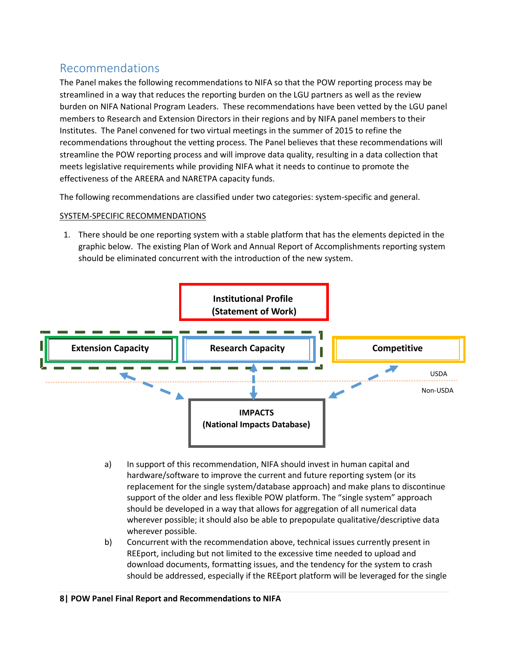## <span id="page-8-0"></span>Recommendations

The Panel makes the following recommendations to NIFA so that the POW reporting process may be streamlined in a way that reduces the reporting burden on the LGU partners as well as the review burden on NIFA National Program Leaders. These recommendations have been vetted by the LGU panel members to Research and Extension Directors in their regions and by NIFA panel members to their Institutes. The Panel convened for two virtual meetings in the summer of 2015 to refine the recommendations throughout the vetting process. The Panel believes that these recommendations will streamline the POW reporting process and will improve data quality, resulting in a data collection that meets legislative requirements while providing NIFA what it needs to continue to promote the effectiveness of the AREERA and NARETPA capacity funds.

The following recommendations are classified under two categories: system-specific and general.

#### SYSTEM-SPECIFIC RECOMMENDATIONS

1. There should be one reporting system with a stable platform that has the elements depicted in the graphic below. The existing Plan of Work and Annual Report of Accomplishments reporting system should be eliminated concurrent with the introduction of the new system.



- a) In support of this recommendation, NIFA should invest in human capital and hardware/software to improve the current and future reporting system (or its replacement for the single system/database approach) and make plans to discontinue support of the older and less flexible POW platform. The "single system" approach should be developed in a way that allows for aggregation of all numerical data wherever possible; it should also be able to prepopulate qualitative/descriptive data wherever possible.
- b) Concurrent with the recommendation above, technical issues currently present in REEport, including but not limited to the excessive time needed to upload and download documents, formatting issues, and the tendency for the system to crash should be addressed, especially if the REEport platform will be leveraged for the single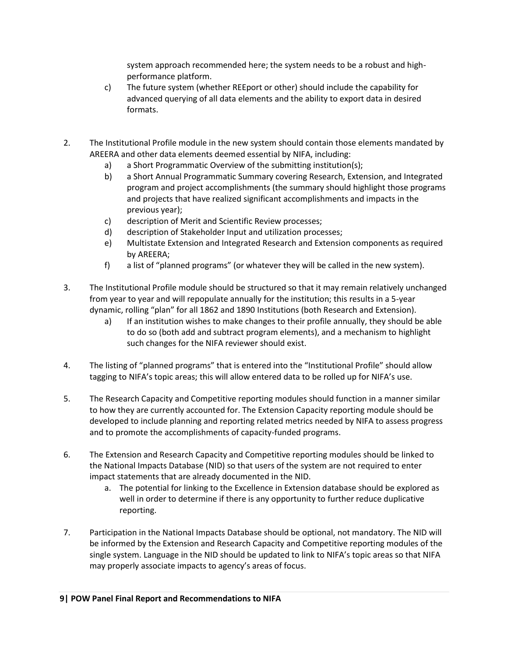system approach recommended here; the system needs to be a robust and highperformance platform.

- c) The future system (whether REEport or other) should include the capability for advanced querying of all data elements and the ability to export data in desired formats.
- 2. The Institutional Profile module in the new system should contain those elements mandated by AREERA and other data elements deemed essential by NIFA, including:
	- a) a Short Programmatic Overview of the submitting institution(s);
	- b) a Short Annual Programmatic Summary covering Research, Extension, and Integrated program and project accomplishments (the summary should highlight those programs and projects that have realized significant accomplishments and impacts in the previous year);
	- c) description of Merit and Scientific Review processes;
	- d) description of Stakeholder Input and utilization processes;
	- e) Multistate Extension and Integrated Research and Extension components as required by AREERA;
	- f) a list of "planned programs" (or whatever they will be called in the new system).
- 3. The Institutional Profile module should be structured so that it may remain relatively unchanged from year to year and will repopulate annually for the institution; this results in a 5-year dynamic, rolling "plan" for all 1862 and 1890 Institutions (both Research and Extension).
	- a) If an institution wishes to make changes to their profile annually, they should be able to do so (both add and subtract program elements), and a mechanism to highlight such changes for the NIFA reviewer should exist.
- 4. The listing of "planned programs" that is entered into the "Institutional Profile" should allow tagging to NIFA's topic areas; this will allow entered data to be rolled up for NIFA's use.
- 5. The Research Capacity and Competitive reporting modules should function in a manner similar to how they are currently accounted for. The Extension Capacity reporting module should be developed to include planning and reporting related metrics needed by NIFA to assess progress and to promote the accomplishments of capacity-funded programs.
- 6. The Extension and Research Capacity and Competitive reporting modules should be linked to the National Impacts Database (NID) so that users of the system are not required to enter impact statements that are already documented in the NID.
	- a. The potential for linking to the Excellence in Extension database should be explored as well in order to determine if there is any opportunity to further reduce duplicative reporting.
- 7. Participation in the National Impacts Database should be optional, not mandatory. The NID will be informed by the Extension and Research Capacity and Competitive reporting modules of the single system. Language in the NID should be updated to link to NIFA's topic areas so that NIFA may properly associate impacts to agency's areas of focus.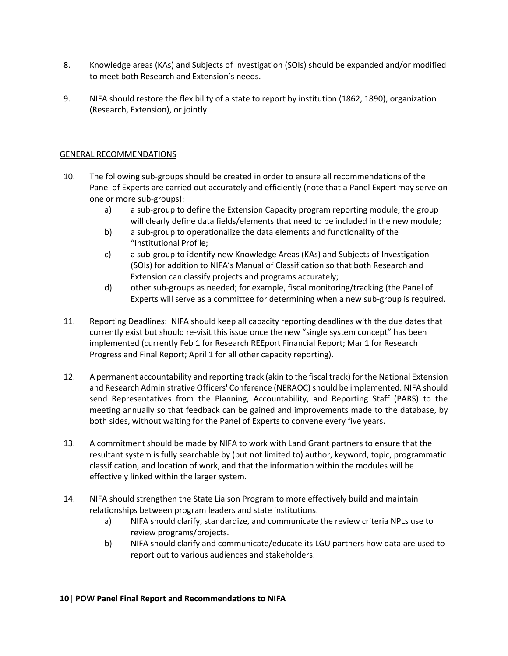- 8. Knowledge areas (KAs) and Subjects of Investigation (SOIs) should be expanded and/or modified to meet both Research and Extension's needs.
- 9. NIFA should restore the flexibility of a state to report by institution (1862, 1890), organization (Research, Extension), or jointly.

#### GENERAL RECOMMENDATIONS

- 10. The following sub-groups should be created in order to ensure all recommendations of the Panel of Experts are carried out accurately and efficiently (note that a Panel Expert may serve on one or more sub-groups):
	- a) a sub-group to define the Extension Capacity program reporting module; the group will clearly define data fields/elements that need to be included in the new module;
	- b) a sub-group to operationalize the data elements and functionality of the "Institutional Profile;
	- c) a sub-group to identify new Knowledge Areas (KAs) and Subjects of Investigation (SOIs) for addition to NIFA's Manual of Classification so that both Research and Extension can classify projects and programs accurately;
	- d) other sub-groups as needed; for example, fiscal monitoring/tracking (the Panel of Experts will serve as a committee for determining when a new sub-group is required.
- 11. Reporting Deadlines: NIFA should keep all capacity reporting deadlines with the due dates that currently exist but should re-visit this issue once the new "single system concept" has been implemented (currently Feb 1 for Research REEport Financial Report; Mar 1 for Research Progress and Final Report; April 1 for all other capacity reporting).
- 12. A permanent accountability and reporting track (akin to the fiscal track) for the National Extension and Research Administrative Officers' Conference (NERAOC) should be implemented. NIFA should send Representatives from the Planning, Accountability, and Reporting Staff (PARS) to the meeting annually so that feedback can be gained and improvements made to the database, by both sides, without waiting for the Panel of Experts to convene every five years.
- 13. A commitment should be made by NIFA to work with Land Grant partners to ensure that the resultant system is fully searchable by (but not limited to) author, keyword, topic, programmatic classification, and location of work, and that the information within the modules will be effectively linked within the larger system.
- 14. NIFA should strengthen the State Liaison Program to more effectively build and maintain relationships between program leaders and state institutions.
	- a) NIFA should clarify, standardize, and communicate the review criteria NPLs use to review programs/projects.
	- b) NIFA should clarify and communicate/educate its LGU partners how data are used to report out to various audiences and stakeholders.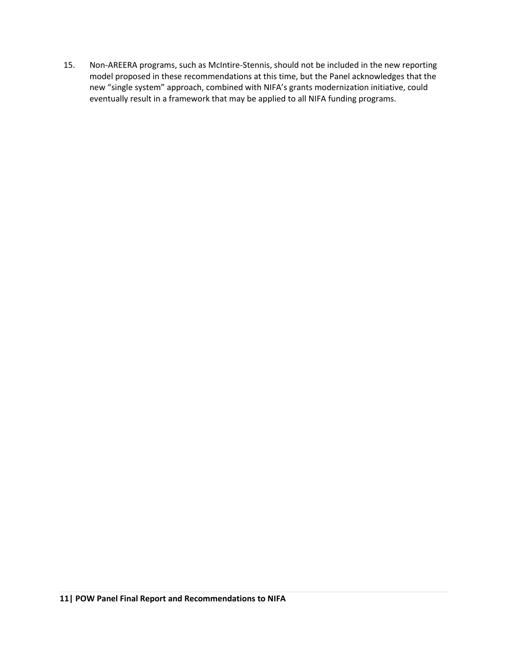15. Non-AREERA programs, such as McIntire-Stennis, should not be included in the new reporting model proposed in these recommendations at this time, but the Panel acknowledges that the new "single system" approach, combined with NIFA's grants modernization initiative, could eventually result in a framework that may be applied to all NIFA funding programs.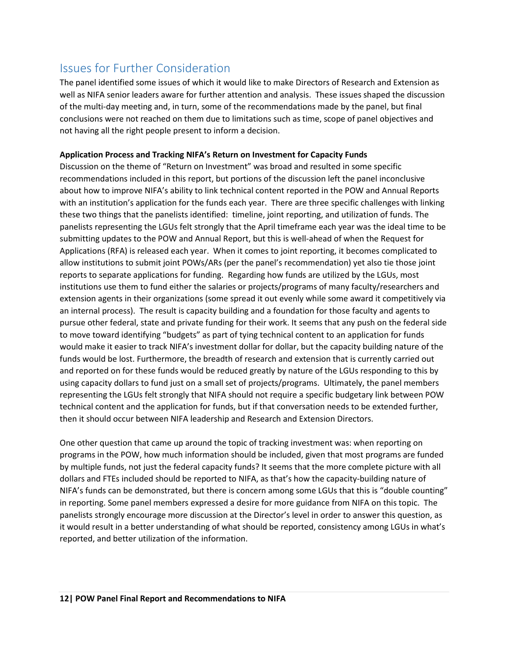## <span id="page-12-0"></span>Issues for Further Consideration

The panel identified some issues of which it would like to make Directors of Research and Extension as well as NIFA senior leaders aware for further attention and analysis. These issues shaped the discussion of the multi-day meeting and, in turn, some of the recommendations made by the panel, but final conclusions were not reached on them due to limitations such as time, scope of panel objectives and not having all the right people present to inform a decision.

#### **Application Process and Tracking NIFA's Return on Investment for Capacity Funds**

Discussion on the theme of "Return on Investment" was broad and resulted in some specific recommendations included in this report, but portions of the discussion left the panel inconclusive about how to improve NIFA's ability to link technical content reported in the POW and Annual Reports with an institution's application for the funds each year. There are three specific challenges with linking these two things that the panelists identified: timeline, joint reporting, and utilization of funds. The panelists representing the LGUs felt strongly that the April timeframe each year was the ideal time to be submitting updates to the POW and Annual Report, but this is well-ahead of when the Request for Applications (RFA) is released each year. When it comes to joint reporting, it becomes complicated to allow institutions to submit joint POWs/ARs (per the panel's recommendation) yet also tie those joint reports to separate applications for funding. Regarding how funds are utilized by the LGUs, most institutions use them to fund either the salaries or projects/programs of many faculty/researchers and extension agents in their organizations (some spread it out evenly while some award it competitively via an internal process). The result is capacity building and a foundation for those faculty and agents to pursue other federal, state and private funding for their work. It seems that any push on the federal side to move toward identifying "budgets" as part of tying technical content to an application for funds would make it easier to track NIFA's investment dollar for dollar, but the capacity building nature of the funds would be lost. Furthermore, the breadth of research and extension that is currently carried out and reported on for these funds would be reduced greatly by nature of the LGUs responding to this by using capacity dollars to fund just on a small set of projects/programs. Ultimately, the panel members representing the LGUs felt strongly that NIFA should not require a specific budgetary link between POW technical content and the application for funds, but if that conversation needs to be extended further, then it should occur between NIFA leadership and Research and Extension Directors.

One other question that came up around the topic of tracking investment was: when reporting on programs in the POW, how much information should be included, given that most programs are funded by multiple funds, not just the federal capacity funds? It seems that the more complete picture with all dollars and FTEs included should be reported to NIFA, as that's how the capacity-building nature of NIFA's funds can be demonstrated, but there is concern among some LGUs that this is "double counting" in reporting. Some panel members expressed a desire for more guidance from NIFA on this topic. The panelists strongly encourage more discussion at the Director's level in order to answer this question, as it would result in a better understanding of what should be reported, consistency among LGUs in what's reported, and better utilization of the information.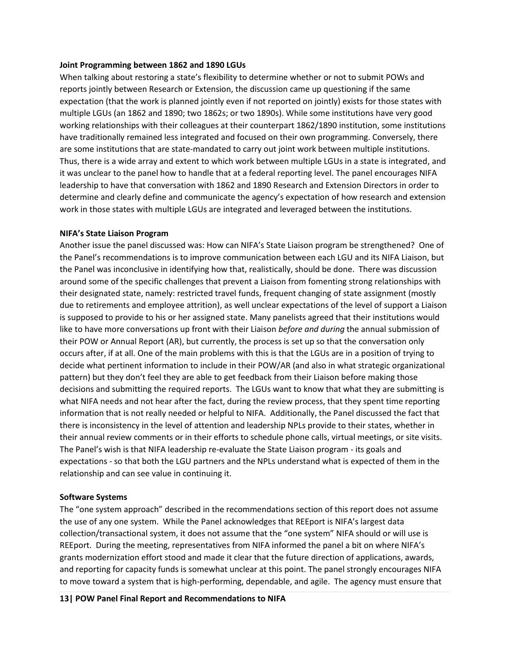#### **Joint Programming between 1862 and 1890 LGUs**

When talking about restoring a state's flexibility to determine whether or not to submit POWs and reports jointly between Research or Extension, the discussion came up questioning if the same expectation (that the work is planned jointly even if not reported on jointly) exists for those states with multiple LGUs (an 1862 and 1890; two 1862s; or two 1890s). While some institutions have very good working relationships with their colleagues at their counterpart 1862/1890 institution, some institutions have traditionally remained less integrated and focused on their own programming. Conversely, there are some institutions that are state-mandated to carry out joint work between multiple institutions. Thus, there is a wide array and extent to which work between multiple LGUs in a state is integrated, and it was unclear to the panel how to handle that at a federal reporting level. The panel encourages NIFA leadership to have that conversation with 1862 and 1890 Research and Extension Directors in order to determine and clearly define and communicate the agency's expectation of how research and extension work in those states with multiple LGUs are integrated and leveraged between the institutions.

#### **NIFA's State Liaison Program**

Another issue the panel discussed was: How can NIFA's State Liaison program be strengthened? One of the Panel's recommendations is to improve communication between each LGU and its NIFA Liaison, but the Panel was inconclusive in identifying how that, realistically, should be done. There was discussion around some of the specific challenges that prevent a Liaison from fomenting strong relationships with their designated state, namely: restricted travel funds, frequent changing of state assignment (mostly due to retirements and employee attrition), as well unclear expectations of the level of support a Liaison is supposed to provide to his or her assigned state. Many panelists agreed that their institutions would like to have more conversations up front with their Liaison *before and during* the annual submission of their POW or Annual Report (AR), but currently, the process is set up so that the conversation only occurs after, if at all. One of the main problems with this is that the LGUs are in a position of trying to decide what pertinent information to include in their POW/AR (and also in what strategic organizational pattern) but they don't feel they are able to get feedback from their Liaison before making those decisions and submitting the required reports. The LGUs want to know that what they are submitting is what NIFA needs and not hear after the fact, during the review process, that they spent time reporting information that is not really needed or helpful to NIFA. Additionally, the Panel discussed the fact that there is inconsistency in the level of attention and leadership NPLs provide to their states, whether in their annual review comments or in their efforts to schedule phone calls, virtual meetings, or site visits. The Panel's wish is that NIFA leadership re-evaluate the State Liaison program - its goals and expectations - so that both the LGU partners and the NPLs understand what is expected of them in the relationship and can see value in continuing it.

#### **Software Systems**

The "one system approach" described in the recommendations section of this report does not assume the use of any one system. While the Panel acknowledges that REEport is NIFA's largest data collection/transactional system, it does not assume that the "one system" NIFA should or will use is REEport. During the meeting, representatives from NIFA informed the panel a bit on where NIFA's grants modernization effort stood and made it clear that the future direction of applications, awards, and reporting for capacity funds is somewhat unclear at this point. The panel strongly encourages NIFA to move toward a system that is high-performing, dependable, and agile. The agency must ensure that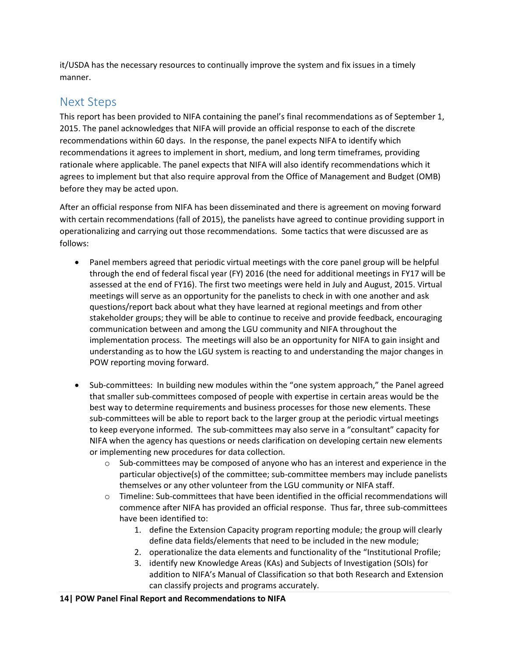it/USDA has the necessary resources to continually improve the system and fix issues in a timely manner.

## <span id="page-14-0"></span>Next Steps

This report has been provided to NIFA containing the panel's final recommendations as of September 1, 2015. The panel acknowledges that NIFA will provide an official response to each of the discrete recommendations within 60 days. In the response, the panel expects NIFA to identify which recommendations it agrees to implement in short, medium, and long term timeframes, providing rationale where applicable. The panel expects that NIFA will also identify recommendations which it agrees to implement but that also require approval from the Office of Management and Budget (OMB) before they may be acted upon.

After an official response from NIFA has been disseminated and there is agreement on moving forward with certain recommendations (fall of 2015), the panelists have agreed to continue providing support in operationalizing and carrying out those recommendations. Some tactics that were discussed are as follows:

- Panel members agreed that periodic virtual meetings with the core panel group will be helpful through the end of federal fiscal year (FY) 2016 (the need for additional meetings in FY17 will be assessed at the end of FY16). The first two meetings were held in July and August, 2015. Virtual meetings will serve as an opportunity for the panelists to check in with one another and ask questions/report back about what they have learned at regional meetings and from other stakeholder groups; they will be able to continue to receive and provide feedback, encouraging communication between and among the LGU community and NIFA throughout the implementation process. The meetings will also be an opportunity for NIFA to gain insight and understanding as to how the LGU system is reacting to and understanding the major changes in POW reporting moving forward.
- Sub-committees: In building new modules within the "one system approach," the Panel agreed that smaller sub-committees composed of people with expertise in certain areas would be the best way to determine requirements and business processes for those new elements. These sub-committees will be able to report back to the larger group at the periodic virtual meetings to keep everyone informed. The sub-committees may also serve in a "consultant" capacity for NIFA when the agency has questions or needs clarification on developing certain new elements or implementing new procedures for data collection.
	- $\circ$  Sub-committees may be composed of anyone who has an interest and experience in the particular objective(s) of the committee; sub-committee members may include panelists themselves or any other volunteer from the LGU community or NIFA staff.
	- o Timeline: Sub-committees that have been identified in the official recommendations will commence after NIFA has provided an official response. Thus far, three sub-committees have been identified to:
		- 1. define the Extension Capacity program reporting module; the group will clearly define data fields/elements that need to be included in the new module;
		- 2. operationalize the data elements and functionality of the "Institutional Profile;
		- 3. identify new Knowledge Areas (KAs) and Subjects of Investigation (SOIs) for addition to NIFA's Manual of Classification so that both Research and Extension can classify projects and programs accurately.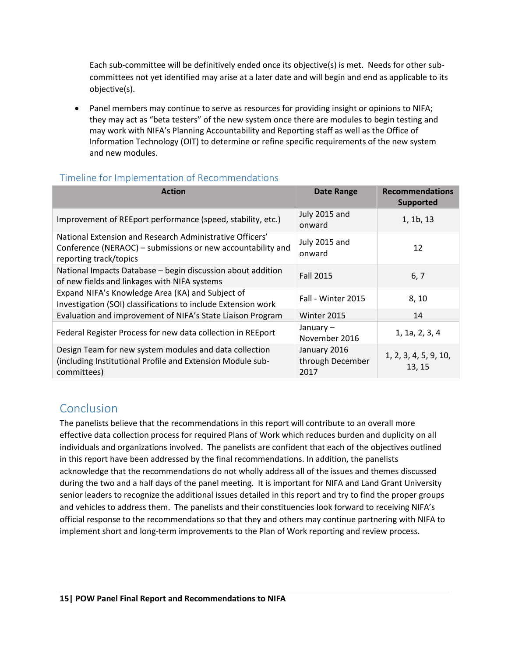Each sub-committee will be definitively ended once its objective(s) is met. Needs for other subcommittees not yet identified may arise at a later date and will begin and end as applicable to its objective(s).

 Panel members may continue to serve as resources for providing insight or opinions to NIFA; they may act as "beta testers" of the new system once there are modules to begin testing and may work with NIFA's Planning Accountability and Reporting staff as well as the Office of Information Technology (OIT) to determine or refine specific requirements of the new system and new modules.

#### <span id="page-15-0"></span>Timeline for Implementation of Recommendations

| <b>Action</b>                                                                                                                                     | <b>Date Range</b>                        | <b>Recommendations</b><br><b>Supported</b> |
|---------------------------------------------------------------------------------------------------------------------------------------------------|------------------------------------------|--------------------------------------------|
| Improvement of REEport performance (speed, stability, etc.)                                                                                       | July 2015 and<br>onward                  | 1, 1b, 13                                  |
| National Extension and Research Administrative Officers'<br>Conference (NERAOC) – submissions or new accountability and<br>reporting track/topics | July 2015 and<br>onward                  | 12                                         |
| National Impacts Database - begin discussion about addition<br>of new fields and linkages with NIFA systems                                       | <b>Fall 2015</b>                         | 6, 7                                       |
| Expand NIFA's Knowledge Area (KA) and Subject of<br>Investigation (SOI) classifications to include Extension work                                 | Fall - Winter 2015                       | 8,10                                       |
| Evaluation and improvement of NIFA's State Liaison Program                                                                                        | Winter 2015                              | 14                                         |
| Federal Register Process for new data collection in REEport                                                                                       | January-<br>November 2016                | 1, 1a, 2, 3, 4                             |
| Design Team for new system modules and data collection<br>(including Institutional Profile and Extension Module sub-<br>committees)               | January 2016<br>through December<br>2017 | 1, 2, 3, 4, 5, 9, 10,<br>13, 15            |

## <span id="page-15-1"></span>Conclusion

The panelists believe that the recommendations in this report will contribute to an overall more effective data collection process for required Plans of Work which reduces burden and duplicity on all individuals and organizations involved. The panelists are confident that each of the objectives outlined in this report have been addressed by the final recommendations. In addition, the panelists acknowledge that the recommendations do not wholly address all of the issues and themes discussed during the two and a half days of the panel meeting. It is important for NIFA and Land Grant University senior leaders to recognize the additional issues detailed in this report and try to find the proper groups and vehicles to address them. The panelists and their constituencies look forward to receiving NIFA's official response to the recommendations so that they and others may continue partnering with NIFA to implement short and long-term improvements to the Plan of Work reporting and review process.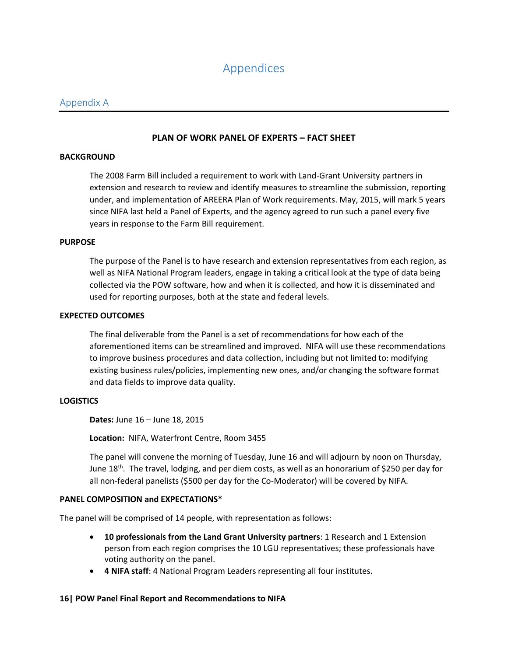## <span id="page-16-2"></span>Appendices

#### <span id="page-16-1"></span><span id="page-16-0"></span>Appendix A

#### **PLAN OF WORK PANEL OF EXPERTS – FACT SHEET**

#### **BACKGROUND**

The 2008 Farm Bill included a requirement to work with Land-Grant University partners in extension and research to review and identify measures to streamline the submission, reporting under, and implementation of AREERA Plan of Work requirements. May, 2015, will mark 5 years since NIFA last held a Panel of Experts, and the agency agreed to run such a panel every five years in response to the Farm Bill requirement.

#### **PURPOSE**

The purpose of the Panel is to have research and extension representatives from each region, as well as NIFA National Program leaders, engage in taking a critical look at the type of data being collected via the POW software, how and when it is collected, and how it is disseminated and used for reporting purposes, both at the state and federal levels.

#### **EXPECTED OUTCOMES**

The final deliverable from the Panel is a set of recommendations for how each of the aforementioned items can be streamlined and improved. NIFA will use these recommendations to improve business procedures and data collection, including but not limited to: modifying existing business rules/policies, implementing new ones, and/or changing the software format and data fields to improve data quality.

#### **LOGISTICS**

**Dates:** June 16 – June 18, 2015

**Location:** NIFA, Waterfront Centre, Room 3455

The panel will convene the morning of Tuesday, June 16 and will adjourn by noon on Thursday, June 18<sup>th</sup>. The travel, lodging, and per diem costs, as well as an honorarium of \$250 per day for all non-federal panelists (\$500 per day for the Co-Moderator) will be covered by NIFA.

#### **PANEL COMPOSITION and EXPECTATIONS\***

The panel will be comprised of 14 people, with representation as follows:

- **10 professionals from the Land Grant University partners**: 1 Research and 1 Extension person from each region comprises the 10 LGU representatives; these professionals have voting authority on the panel.
- **4 NIFA staff**: 4 National Program Leaders representing all four institutes.

#### **16| POW Panel Final Report and Recommendations to NIFA**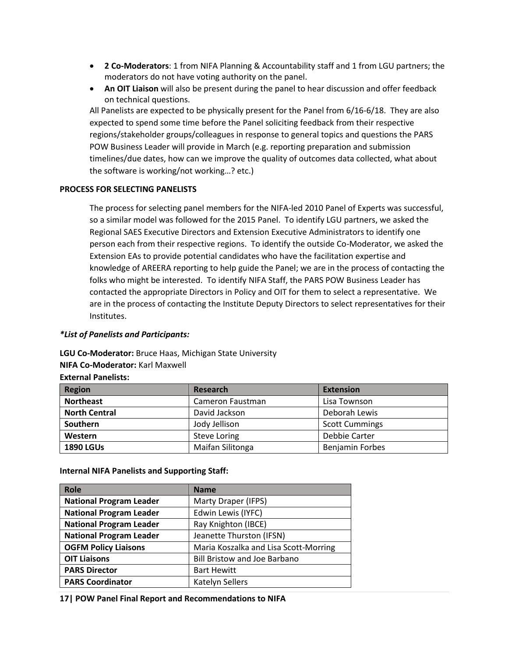- **2 Co-Moderators**: 1 from NIFA Planning & Accountability staff and 1 from LGU partners; the moderators do not have voting authority on the panel.
- **An OIT Liaison** will also be present during the panel to hear discussion and offer feedback on technical questions.

All Panelists are expected to be physically present for the Panel from 6/16-6/18. They are also expected to spend some time before the Panel soliciting feedback from their respective regions/stakeholder groups/colleagues in response to general topics and questions the PARS POW Business Leader will provide in March (e.g. reporting preparation and submission timelines/due dates, how can we improve the quality of outcomes data collected, what about the software is working/not working…? etc.)

#### **PROCESS FOR SELECTING PANELISTS**

The process for selecting panel members for the NIFA-led 2010 Panel of Experts was successful, so a similar model was followed for the 2015 Panel. To identify LGU partners, we asked the Regional SAES Executive Directors and Extension Executive Administrators to identify one person each from their respective regions. To identify the outside Co-Moderator, we asked the Extension EAs to provide potential candidates who have the facilitation expertise and knowledge of AREERA reporting to help guide the Panel; we are in the process of contacting the folks who might be interested. To identify NIFA Staff, the PARS POW Business Leader has contacted the appropriate Directors in Policy and OIT for them to select a representative. We are in the process of contacting the Institute Deputy Directors to select representatives for their Institutes.

#### *\*List of Panelists and Participants:*

**LGU Co-Moderator:** Bruce Haas, Michigan State University

#### **NIFA Co-Moderator:** Karl Maxwell

| <b>Region</b>        | Research            | <b>Extension</b>       |
|----------------------|---------------------|------------------------|
| <b>Northeast</b>     | Cameron Faustman    | Lisa Townson           |
| <b>North Central</b> | David Jackson       | Deborah Lewis          |
| Southern             | Jody Jellison       | <b>Scott Cummings</b>  |
| Western              | <b>Steve Loring</b> | Debbie Carter          |
| <b>1890 LGUs</b>     | Maifan Silitonga    | <b>Benjamin Forbes</b> |

**External Panelists:**

| <b>Internal NIFA Panelists and Supporting Staff:</b> |  |  |  |  |
|------------------------------------------------------|--|--|--|--|
|------------------------------------------------------|--|--|--|--|

| <b>Role</b>                    | <b>Name</b>                           |
|--------------------------------|---------------------------------------|
| <b>National Program Leader</b> | Marty Draper (IFPS)                   |
| <b>National Program Leader</b> | Edwin Lewis (IYFC)                    |
| <b>National Program Leader</b> | Ray Knighton (IBCE)                   |
| <b>National Program Leader</b> | Jeanette Thurston (IFSN)              |
| <b>OGFM Policy Liaisons</b>    | Maria Koszalka and Lisa Scott-Morring |
| <b>OIT Liaisons</b>            | <b>Bill Bristow and Joe Barbano</b>   |
| <b>PARS Director</b>           | <b>Bart Hewitt</b>                    |
| <b>PARS Coordinator</b>        | Katelyn Sellers                       |

**17| POW Panel Final Report and Recommendations to NIFA**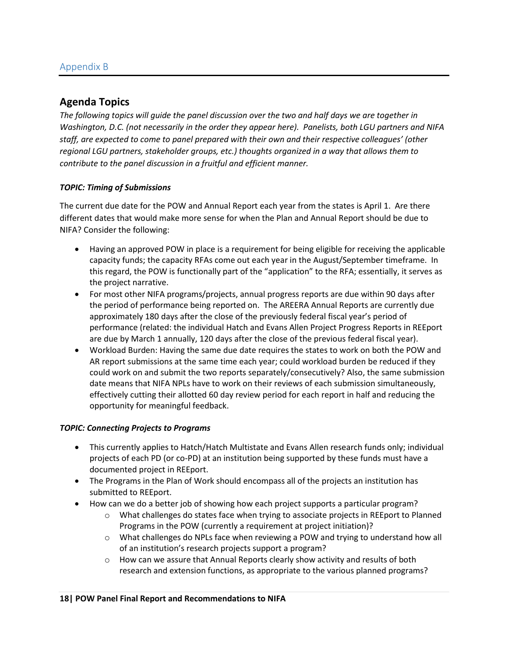#### <span id="page-18-0"></span>**Agenda Topics**

*The following topics will guide the panel discussion over the two and half days we are together in Washington, D.C. (not necessarily in the order they appear here). Panelists, both LGU partners and NIFA staff, are expected to come to panel prepared with their own and their respective colleagues' (other regional LGU partners, stakeholder groups, etc.) thoughts organized in a way that allows them to contribute to the panel discussion in a fruitful and efficient manner.*

#### *TOPIC: Timing of Submissions*

The current due date for the POW and Annual Report each year from the states is April 1. Are there different dates that would make more sense for when the Plan and Annual Report should be due to NIFA? Consider the following:

- Having an approved POW in place is a requirement for being eligible for receiving the applicable capacity funds; the capacity RFAs come out each year in the August/September timeframe. In this regard, the POW is functionally part of the "application" to the RFA; essentially, it serves as the project narrative.
- For most other NIFA programs/projects, annual progress reports are due within 90 days after the period of performance being reported on. The AREERA Annual Reports are currently due approximately 180 days after the close of the previously federal fiscal year's period of performance (related: the individual Hatch and Evans Allen Project Progress Reports in REEport are due by March 1 annually, 120 days after the close of the previous federal fiscal year).
- Workload Burden: Having the same due date requires the states to work on both the POW and AR report submissions at the same time each year; could workload burden be reduced if they could work on and submit the two reports separately/consecutively? Also, the same submission date means that NIFA NPLs have to work on their reviews of each submission simultaneously, effectively cutting their allotted 60 day review period for each report in half and reducing the opportunity for meaningful feedback.

#### *TOPIC: Connecting Projects to Programs*

- This currently applies to Hatch/Hatch Multistate and Evans Allen research funds only; individual projects of each PD (or co-PD) at an institution being supported by these funds must have a documented project in REEport.
- The Programs in the Plan of Work should encompass all of the projects an institution has submitted to REEport.
- How can we do a better job of showing how each project supports a particular program?
	- o What challenges do states face when trying to associate projects in REEport to Planned Programs in the POW (currently a requirement at project initiation)?
	- o What challenges do NPLs face when reviewing a POW and trying to understand how all of an institution's research projects support a program?
	- $\circ$  How can we assure that Annual Reports clearly show activity and results of both research and extension functions, as appropriate to the various planned programs?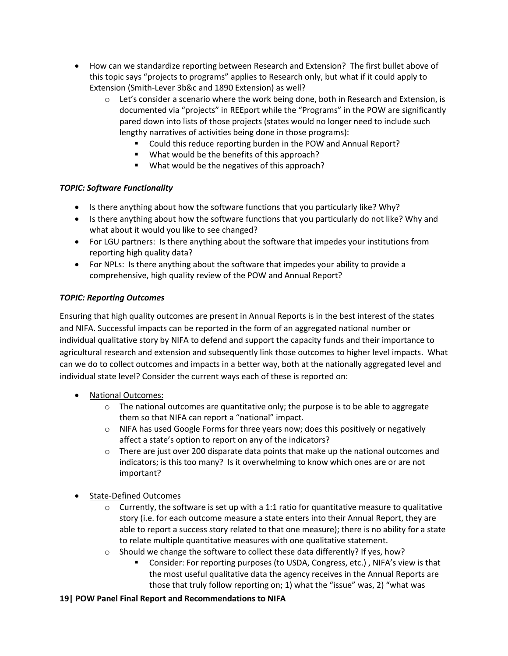- How can we standardize reporting between Research and Extension? The first bullet above of this topic says "projects to programs" applies to Research only, but what if it could apply to Extension (Smith-Lever 3b&c and 1890 Extension) as well?
	- $\circ$  Let's consider a scenario where the work being done, both in Research and Extension, is documented via "projects" in REEport while the "Programs" in the POW are significantly pared down into lists of those projects (states would no longer need to include such lengthy narratives of activities being done in those programs):
		- Could this reduce reporting burden in the POW and Annual Report?
		- What would be the benefits of this approach?
		- What would be the negatives of this approach?

#### *TOPIC: Software Functionality*

- Is there anything about how the software functions that you particularly like? Why?
- Is there anything about how the software functions that you particularly do not like? Why and what about it would you like to see changed?
- For LGU partners: Is there anything about the software that impedes your institutions from reporting high quality data?
- For NPLs: Is there anything about the software that impedes your ability to provide a comprehensive, high quality review of the POW and Annual Report?

#### *TOPIC: Reporting Outcomes*

Ensuring that high quality outcomes are present in Annual Reports is in the best interest of the states and NIFA. Successful impacts can be reported in the form of an aggregated national number or individual qualitative story by NIFA to defend and support the capacity funds and their importance to agricultural research and extension and subsequently link those outcomes to higher level impacts. What can we do to collect outcomes and impacts in a better way, both at the nationally aggregated level and individual state level? Consider the current ways each of these is reported on:

- National Outcomes:
	- $\circ$  The national outcomes are quantitative only; the purpose is to be able to aggregate them so that NIFA can report a "national" impact.
	- $\circ$  NIFA has used Google Forms for three years now; does this positively or negatively affect a state's option to report on any of the indicators?
	- $\circ$  There are just over 200 disparate data points that make up the national outcomes and indicators; is this too many? Is it overwhelming to know which ones are or are not important?
- State-Defined Outcomes
	- $\circ$  Currently, the software is set up with a 1:1 ratio for quantitative measure to qualitative story (i.e. for each outcome measure a state enters into their Annual Report, they are able to report a success story related to that one measure); there is no ability for a state to relate multiple quantitative measures with one qualitative statement.
	- $\circ$  Should we change the software to collect these data differently? If yes, how?
		- Consider: For reporting purposes (to USDA, Congress, etc.) , NIFA's view is that the most useful qualitative data the agency receives in the Annual Reports are those that truly follow reporting on; 1) what the "issue" was, 2) "what was

#### **19| POW Panel Final Report and Recommendations to NIFA**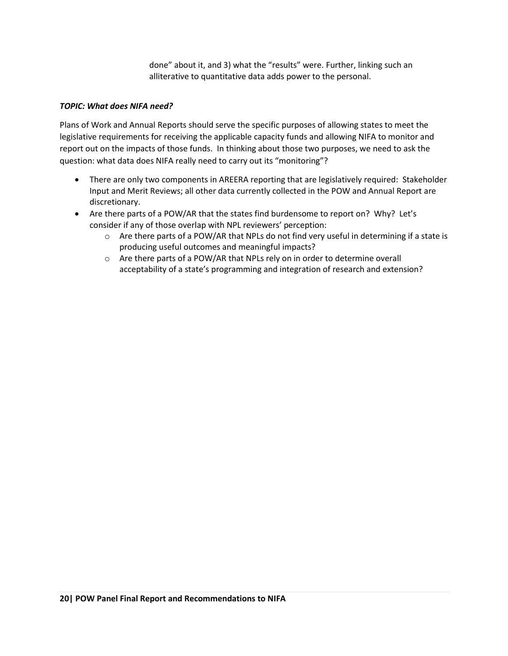done" about it, and 3) what the "results" were. Further, linking such an alliterative to quantitative data adds power to the personal.

#### *TOPIC: What does NIFA need?*

Plans of Work and Annual Reports should serve the specific purposes of allowing states to meet the legislative requirements for receiving the applicable capacity funds and allowing NIFA to monitor and report out on the impacts of those funds. In thinking about those two purposes, we need to ask the question: what data does NIFA really need to carry out its "monitoring"?

- There are only two components in AREERA reporting that are legislatively required: Stakeholder Input and Merit Reviews; all other data currently collected in the POW and Annual Report are discretionary.
- Are there parts of a POW/AR that the states find burdensome to report on? Why? Let's consider if any of those overlap with NPL reviewers' perception:
	- $\circ$  Are there parts of a POW/AR that NPLs do not find very useful in determining if a state is producing useful outcomes and meaningful impacts?
	- o Are there parts of a POW/AR that NPLs rely on in order to determine overall acceptability of a state's programming and integration of research and extension?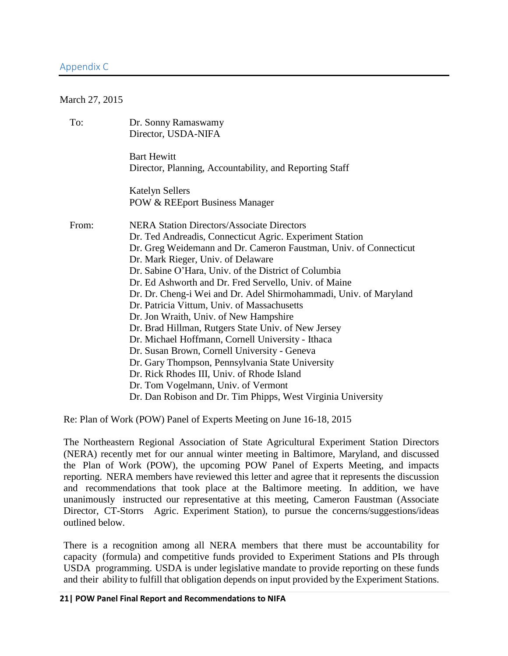#### <span id="page-21-0"></span>Appendix C

#### March 27, 2015

| To:   | Dr. Sonny Ramaswamy<br>Director, USDA-NIFA                                    |
|-------|-------------------------------------------------------------------------------|
|       | <b>Bart Hewitt</b><br>Director, Planning, Accountability, and Reporting Staff |
|       | <b>Katelyn Sellers</b><br><b>POW &amp; REEport Business Manager</b>           |
| From: | <b>NERA Station Directors/Associate Directors</b>                             |
|       | Dr. Ted Andreadis, Connecticut Agric. Experiment Station                      |
|       | Dr. Greg Weidemann and Dr. Cameron Faustman, Univ. of Connecticut             |
|       | Dr. Mark Rieger, Univ. of Delaware                                            |
|       | Dr. Sabine O'Hara, Univ. of the District of Columbia                          |
|       | Dr. Ed Ashworth and Dr. Fred Servello, Univ. of Maine                         |
|       | Dr. Dr. Cheng-i Wei and Dr. Adel Shirmohammadi, Univ. of Maryland             |
|       | Dr. Patricia Vittum, Univ. of Massachusetts                                   |
|       | Dr. Jon Wraith, Univ. of New Hampshire                                        |
|       | Dr. Brad Hillman, Rutgers State Univ. of New Jersey                           |
|       | Dr. Michael Hoffmann, Cornell University - Ithaca                             |
|       | Dr. Susan Brown, Cornell University - Geneva                                  |
|       | Dr. Gary Thompson, Pennsylvania State University                              |
|       | Dr. Rick Rhodes III, Univ. of Rhode Island                                    |
|       | Dr. Tom Vogelmann, Univ. of Vermont                                           |
|       | Dr. Dan Robison and Dr. Tim Phipps, West Virginia University                  |

Re: Plan of Work (POW) Panel of Experts Meeting on June 16-18, 2015

The Northeastern Regional Association of State Agricultural Experiment Station Directors (NERA) recently met for our annual winter meeting in Baltimore, Maryland, and discussed the Plan of Work (POW), the upcoming POW Panel of Experts Meeting, and impacts reporting. NERA members have reviewed this letter and agree that it represents the discussion and recommendations that took place at the Baltimore meeting. In addition, we have unanimously instructed our representative at this meeting, Cameron Faustman (Associate Director, CT-Storrs Agric. Experiment Station), to pursue the concerns/suggestions/ideas outlined below.

There is a recognition among all NERA members that there must be accountability for capacity (formula) and competitive funds provided to Experiment Stations and PIs through USDA programming. USDA is under legislative mandate to provide reporting on these funds and their ability to fulfill that obligation depends on input provided by the Experiment Stations.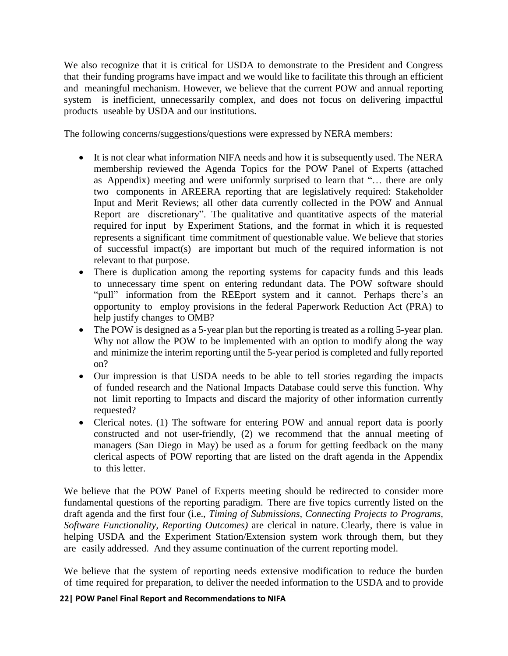We also recognize that it is critical for USDA to demonstrate to the President and Congress that their funding programs have impact and we would like to facilitate this through an efficient and meaningful mechanism. However, we believe that the current POW and annual reporting system is inefficient, unnecessarily complex, and does not focus on delivering impactful products useable by USDA and our institutions.

The following concerns/suggestions/questions were expressed by NERA members:

- It is not clear what information NIFA needs and how it is subsequently used. The NERA membership reviewed the Agenda Topics for the POW Panel of Experts (attached as Appendix) meeting and were uniformly surprised to learn that "… there are only two components in AREERA reporting that are legislatively required: Stakeholder Input and Merit Reviews; all other data currently collected in the POW and Annual Report are discretionary". The qualitative and quantitative aspects of the material required for input by Experiment Stations, and the format in which it is requested represents a significant time commitment of questionable value. We believe that stories of successful impact(s) are important but much of the required information is not relevant to that purpose.
- There is duplication among the reporting systems for capacity funds and this leads to unnecessary time spent on entering redundant data. The POW software should "pull" information from the REEport system and it cannot. Perhaps there's an opportunity to employ provisions in the federal Paperwork Reduction Act (PRA) to help justify changes to OMB?
- The POW is designed as a 5-year plan but the reporting is treated as a rolling 5-year plan. Why not allow the POW to be implemented with an option to modify along the way and minimize the interim reporting until the 5-year period is completed and fully reported on?
- Our impression is that USDA needs to be able to tell stories regarding the impacts of funded research and the National Impacts Database could serve this function. Why not limit reporting to Impacts and discard the majority of other information currently requested?
- Clerical notes. (1) The software for entering POW and annual report data is poorly constructed and not user-friendly, (2) we recommend that the annual meeting of managers (San Diego in May) be used as a forum for getting feedback on the many clerical aspects of POW reporting that are listed on the draft agenda in the Appendix to this letter.

We believe that the POW Panel of Experts meeting should be redirected to consider more fundamental questions of the reporting paradigm. There are five topics currently listed on the draft agenda and the first four (i.e., *Timing of Submissions, Connecting Projects to Programs, Software Functionality, Reporting Outcomes)* are clerical in nature. Clearly, there is value in helping USDA and the Experiment Station/Extension system work through them, but they are easily addressed. And they assume continuation of the current reporting model.

We believe that the system of reporting needs extensive modification to reduce the burden of time required for preparation, to deliver the needed information to the USDA and to provide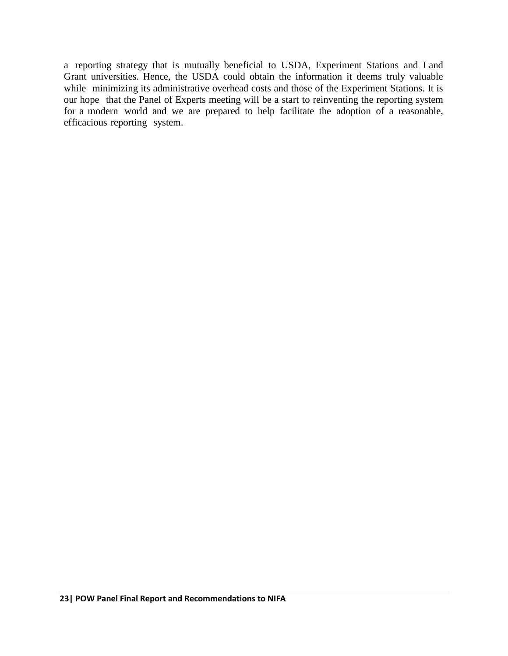a reporting strategy that is mutually beneficial to USDA, Experiment Stations and Land Grant universities. Hence, the USDA could obtain the information it deems truly valuable while minimizing its administrative overhead costs and those of the Experiment Stations. It is our hope that the Panel of Experts meeting will be a start to reinventing the reporting system for a modern world and we are prepared to help facilitate the adoption of a reasonable, efficacious reporting system.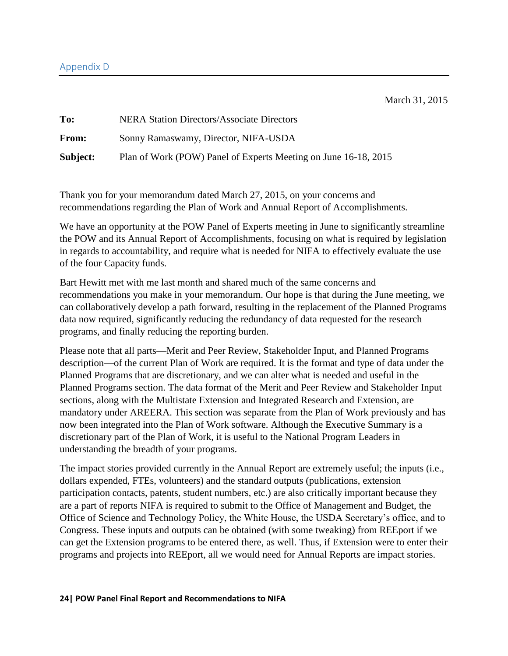#### <span id="page-24-0"></span>Appendix D

March 31, 2015

| To:      | <b>NERA Station Directors/Associate Directors</b>               |
|----------|-----------------------------------------------------------------|
| From:    | Sonny Ramaswamy, Director, NIFA-USDA                            |
| Subject: | Plan of Work (POW) Panel of Experts Meeting on June 16-18, 2015 |

Thank you for your memorandum dated March 27, 2015, on your concerns and recommendations regarding the Plan of Work and Annual Report of Accomplishments.

We have an opportunity at the POW Panel of Experts meeting in June to significantly streamline the POW and its Annual Report of Accomplishments, focusing on what is required by legislation in regards to accountability, and require what is needed for NIFA to effectively evaluate the use of the four Capacity funds.

Bart Hewitt met with me last month and shared much of the same concerns and recommendations you make in your memorandum. Our hope is that during the June meeting, we can collaboratively develop a path forward, resulting in the replacement of the Planned Programs data now required, significantly reducing the redundancy of data requested for the research programs, and finally reducing the reporting burden.

Please note that all parts—Merit and Peer Review, Stakeholder Input, and Planned Programs description—of the current Plan of Work are required. It is the format and type of data under the Planned Programs that are discretionary, and we can alter what is needed and useful in the Planned Programs section. The data format of the Merit and Peer Review and Stakeholder Input sections, along with the Multistate Extension and Integrated Research and Extension, are mandatory under AREERA. This section was separate from the Plan of Work previously and has now been integrated into the Plan of Work software. Although the Executive Summary is a discretionary part of the Plan of Work, it is useful to the National Program Leaders in understanding the breadth of your programs.

The impact stories provided currently in the Annual Report are extremely useful; the inputs (i.e., dollars expended, FTEs, volunteers) and the standard outputs (publications, extension participation contacts, patents, student numbers, etc.) are also critically important because they are a part of reports NIFA is required to submit to the Office of Management and Budget, the Office of Science and Technology Policy, the White House, the USDA Secretary's office, and to Congress. These inputs and outputs can be obtained (with some tweaking) from REEport if we can get the Extension programs to be entered there, as well. Thus, if Extension were to enter their programs and projects into REEport, all we would need for Annual Reports are impact stories.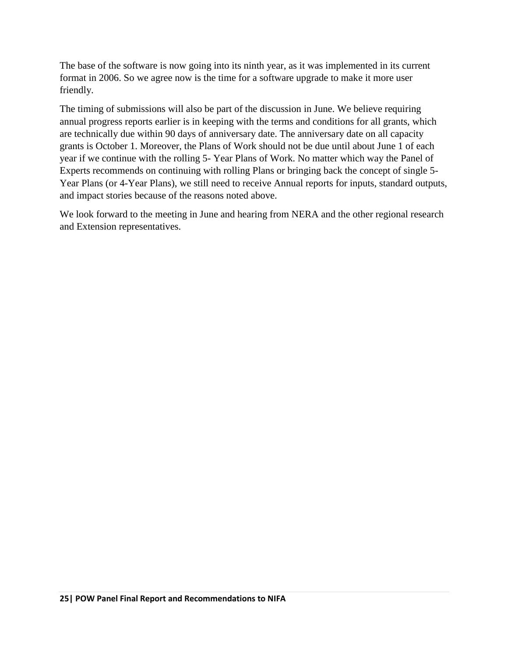The base of the software is now going into its ninth year, as it was implemented in its current format in 2006. So we agree now is the time for a software upgrade to make it more user friendly.

The timing of submissions will also be part of the discussion in June. We believe requiring annual progress reports earlier is in keeping with the terms and conditions for all grants, which are technically due within 90 days of anniversary date. The anniversary date on all capacity grants is October 1. Moreover, the Plans of Work should not be due until about June 1 of each year if we continue with the rolling 5- Year Plans of Work. No matter which way the Panel of Experts recommends on continuing with rolling Plans or bringing back the concept of single 5- Year Plans (or 4-Year Plans), we still need to receive Annual reports for inputs, standard outputs, and impact stories because of the reasons noted above.

We look forward to the meeting in June and hearing from NERA and the other regional research and Extension representatives.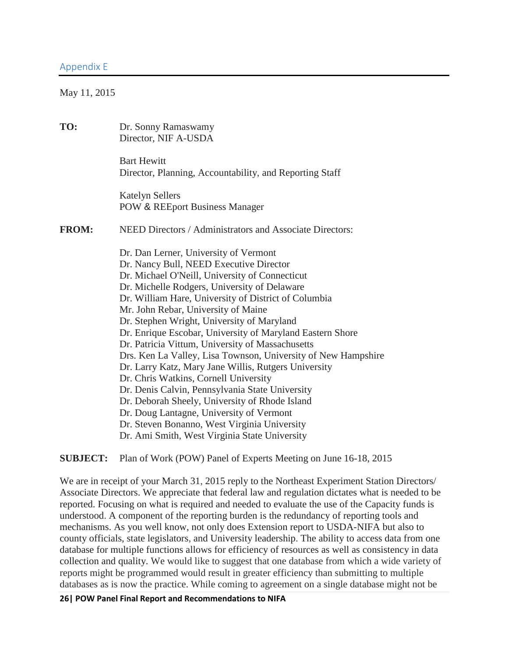<span id="page-26-0"></span>May 11, 2015

| TO:          | Dr. Sonny Ramaswamy<br>Director, NIF A-USDA                                                                                                                                                                                                                                                                                                                                                                                                                                                                                                                                                                                                                                                                                                                                                                                                                          |
|--------------|----------------------------------------------------------------------------------------------------------------------------------------------------------------------------------------------------------------------------------------------------------------------------------------------------------------------------------------------------------------------------------------------------------------------------------------------------------------------------------------------------------------------------------------------------------------------------------------------------------------------------------------------------------------------------------------------------------------------------------------------------------------------------------------------------------------------------------------------------------------------|
|              | <b>Bart Hewitt</b><br>Director, Planning, Accountability, and Reporting Staff                                                                                                                                                                                                                                                                                                                                                                                                                                                                                                                                                                                                                                                                                                                                                                                        |
|              | <b>Katelyn Sellers</b><br><b>POW &amp; REEport Business Manager</b>                                                                                                                                                                                                                                                                                                                                                                                                                                                                                                                                                                                                                                                                                                                                                                                                  |
| <b>FROM:</b> | NEED Directors / Administrators and Associate Directors:                                                                                                                                                                                                                                                                                                                                                                                                                                                                                                                                                                                                                                                                                                                                                                                                             |
|              | Dr. Dan Lerner, University of Vermont<br>Dr. Nancy Bull, NEED Executive Director<br>Dr. Michael O'Neill, University of Connecticut<br>Dr. Michelle Rodgers, University of Delaware<br>Dr. William Hare, University of District of Columbia<br>Mr. John Rebar, University of Maine<br>Dr. Stephen Wright, University of Maryland<br>Dr. Enrique Escobar, University of Maryland Eastern Shore<br>Dr. Patricia Vittum, University of Massachusetts<br>Drs. Ken La Valley, Lisa Townson, University of New Hampshire<br>Dr. Larry Katz, Mary Jane Willis, Rutgers University<br>Dr. Chris Watkins, Cornell University<br>Dr. Denis Calvin, Pennsylvania State University<br>Dr. Deborah Sheely, University of Rhode Island<br>Dr. Doug Lantagne, University of Vermont<br>Dr. Steven Bonanno, West Virginia University<br>Dr. Ami Smith, West Virginia State University |

**SUBJECT:** Plan of Work (POW) Panel of Experts Meeting on June 16-18, 2015

We are in receipt of your March 31, 2015 reply to the Northeast Experiment Station Directors/ Associate Directors. We appreciate that federal law and regulation dictates what is needed to be reported. Focusing on what is required and needed to evaluate the use of the Capacity funds is understood. A component of the reporting burden is the redundancy of reporting tools and mechanisms. As you well know, not only does Extension report to USDA-NIFA but also to county officials, state legislators, and University leadership. The ability to access data from one database for multiple functions allows for efficiency of resources as well as consistency in data collection and quality. We would like to suggest that one database from which a wide variety of reports might be programmed would result in greater efficiency than submitting to multiple databases as is now the practice. While coming to agreement on a single database might not be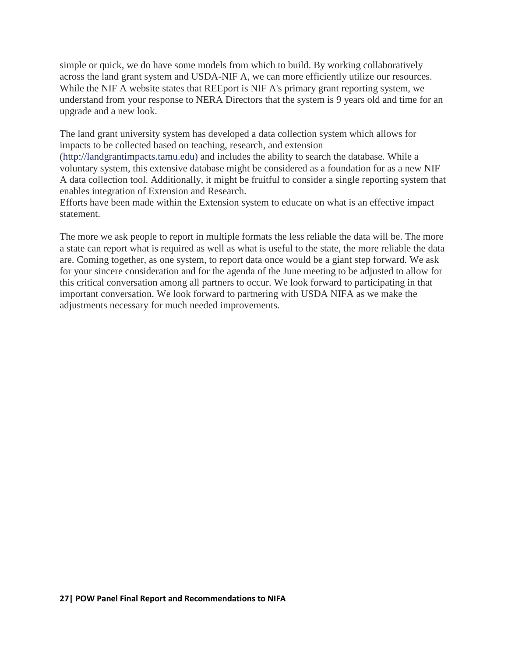simple or quick, we do have some models from which to build. By working collaboratively across the land grant system and USDA-NIF A, we can more efficiently utilize our resources. While the NIF A website states that REEport is NIF A's primary grant reporting system, we understand from your response to NERA Directors that the system is 9 years old and time for an upgrade and a new look.

The land grant university system has developed a data collection system which allows for impacts to be collected based on teaching, research, and extension

(http://landgrantimpacts.tamu.edu) and includes the ability to search the database. While a voluntary system, this extensive database might be considered as a foundation for as a new NIF A data collection tool. Additionally, it might be fruitful to consider a single reporting system that enables integration of Extension and Research.

Efforts have been made within the Extension system to educate on what is an effective impact statement.

The more we ask people to report in multiple formats the less reliable the data will be. The more a state can report what is required as well as what is useful to the state, the more reliable the data are. Coming together, as one system, to report data once would be a giant step forward. We ask for your sincere consideration and for the agenda of the June meeting to be adjusted to allow for this critical conversation among all partners to occur. We look forward to participating in that important conversation. We look forward to partnering with USDA NIFA as we make the adjustments necessary for much needed improvements.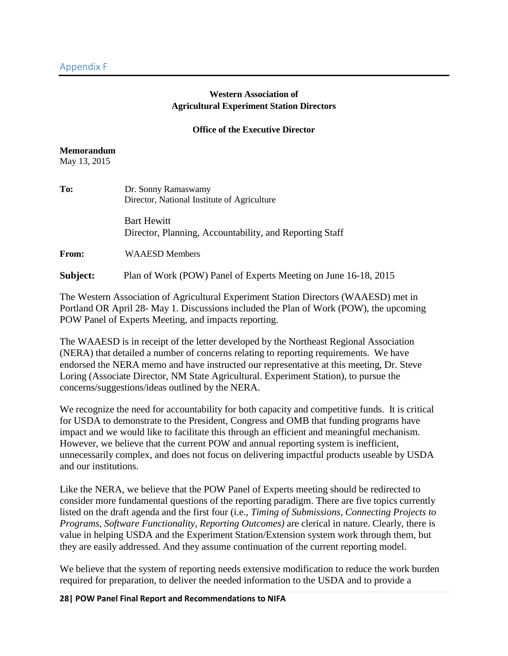#### **Western Association of Agricultural Experiment Station Directors**

#### **Office of the Executive Director**

#### <span id="page-28-0"></span>**Memorandum**

May 13, 2015

| To:      | Dr. Sonny Ramaswamy<br>Director, National Institute of Agriculture            |
|----------|-------------------------------------------------------------------------------|
|          | <b>Bart Hewitt</b><br>Director, Planning, Accountability, and Reporting Staff |
| From:    | <b>WAAESD Members</b>                                                         |
| Subject: | Plan of Work (POW) Panel of Experts Meeting on June 16-18, 2015               |

The Western Association of Agricultural Experiment Station Directors (WAAESD) met in Portland OR April 28- May 1. Discussions included the Plan of Work (POW), the upcoming POW Panel of Experts Meeting, and impacts reporting.

The WAAESD is in receipt of the letter developed by the Northeast Regional Association (NERA) that detailed a number of concerns relating to reporting requirements. We have endorsed the NERA memo and have instructed our representative at this meeting, Dr. Steve Loring (Associate Director, NM State Agricultural. Experiment Station), to pursue the concerns/suggestions/ideas outlined by the NERA.

We recognize the need for accountability for both capacity and competitive funds. It is critical for USDA to demonstrate to the President, Congress and OMB that funding programs have impact and we would like to facilitate this through an efficient and meaningful mechanism. However, we believe that the current POW and annual reporting system is inefficient, unnecessarily complex, and does not focus on delivering impactful products useable by USDA and our institutions.

Like the NERA, we believe that the POW Panel of Experts meeting should be redirected to consider more fundamental questions of the reporting paradigm. There are five topics currently listed on the draft agenda and the first four (i.e., *Timing of Submissions, Connecting Projects to Programs, Software Functionality, Reporting Outcomes)* are clerical in nature. Clearly, there is value in helping USDA and the Experiment Station/Extension system work through them, but they are easily addressed. And they assume continuation of the current reporting model.

We believe that the system of reporting needs extensive modification to reduce the work burden required for preparation, to deliver the needed information to the USDA and to provide a